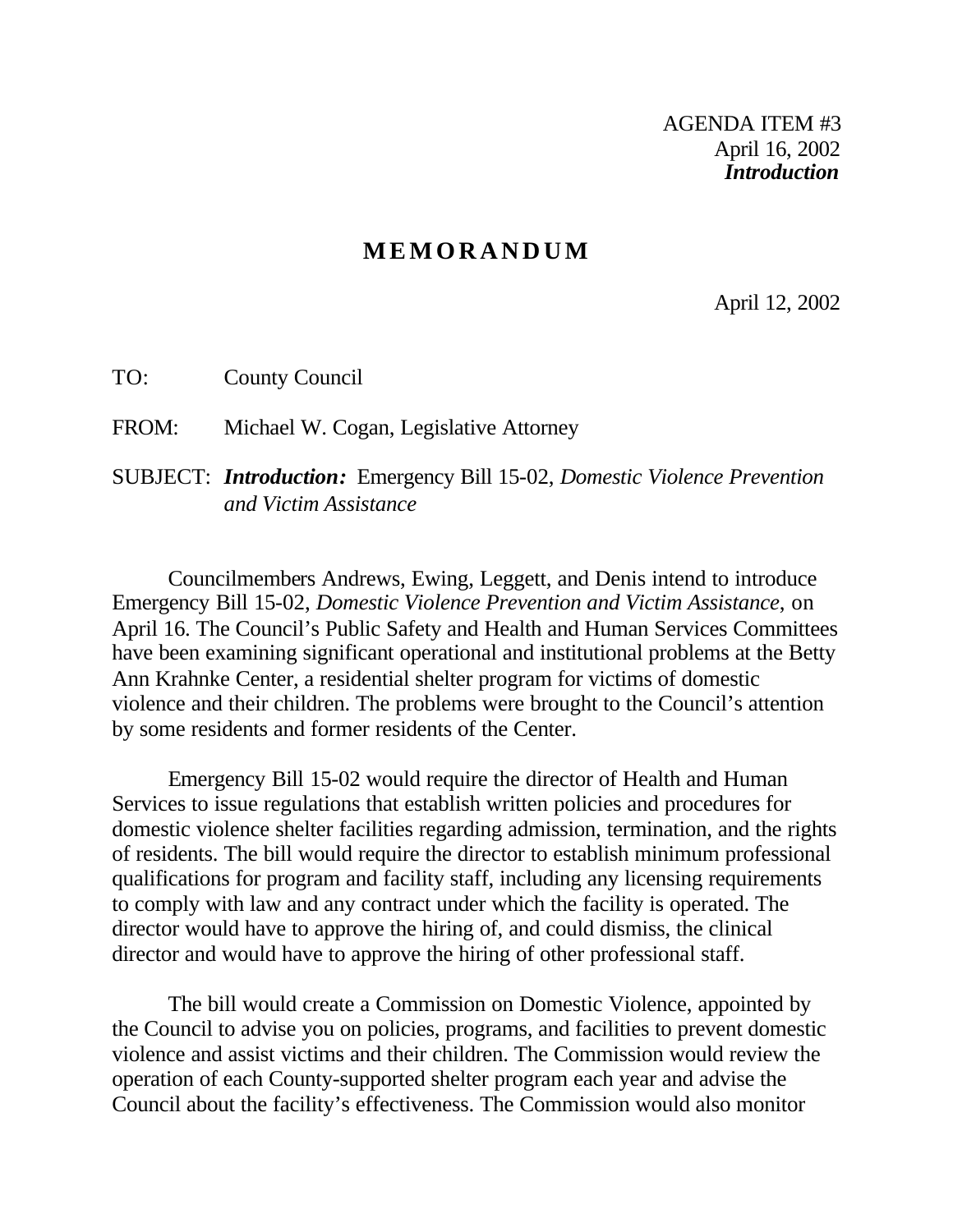## **MEMORANDUM**

April 12, 2002

TO: County Council

FROM: Michael W. Cogan, Legislative Attorney

SUBJECT: *Introduction:* Emergency Bill 15-02, *Domestic Violence Prevention and Victim Assistance*

Councilmembers Andrews, Ewing, Leggett, and Denis intend to introduce Emergency Bill 15-02, *Domestic Violence Prevention and Victim Assistance*, on April 16. The Council's Public Safety and Health and Human Services Committees have been examining significant operational and institutional problems at the Betty Ann Krahnke Center, a residential shelter program for victims of domestic violence and their children. The problems were brought to the Council's attention by some residents and former residents of the Center.

Emergency Bill 15-02 would require the director of Health and Human Services to issue regulations that establish written policies and procedures for domestic violence shelter facilities regarding admission, termination, and the rights of residents. The bill would require the director to establish minimum professional qualifications for program and facility staff, including any licensing requirements to comply with law and any contract under which the facility is operated. The director would have to approve the hiring of, and could dismiss, the clinical director and would have to approve the hiring of other professional staff.

The bill would create a Commission on Domestic Violence, appointed by the Council to advise you on policies, programs, and facilities to prevent domestic violence and assist victims and their children. The Commission would review the operation of each County-supported shelter program each year and advise the Council about the facility's effectiveness. The Commission would also monitor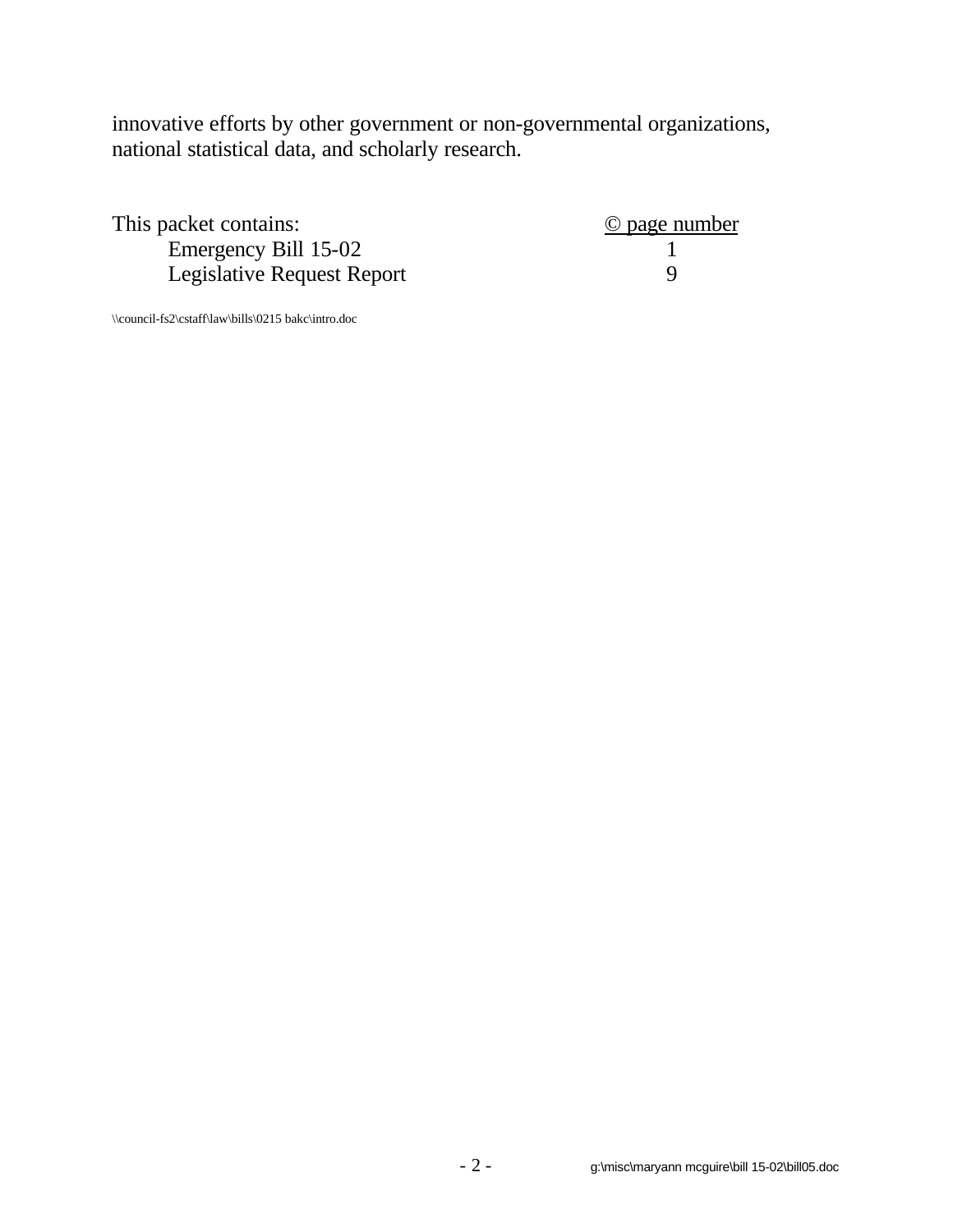innovative efforts by other government or non-governmental organizations, national statistical data, and scholarly research.

| This packet contains:      | © page number |
|----------------------------|---------------|
| Emergency Bill 15-02       |               |
| Legislative Request Report |               |

\\council-fs2\cstaff\law\bills\0215 bakc\intro.doc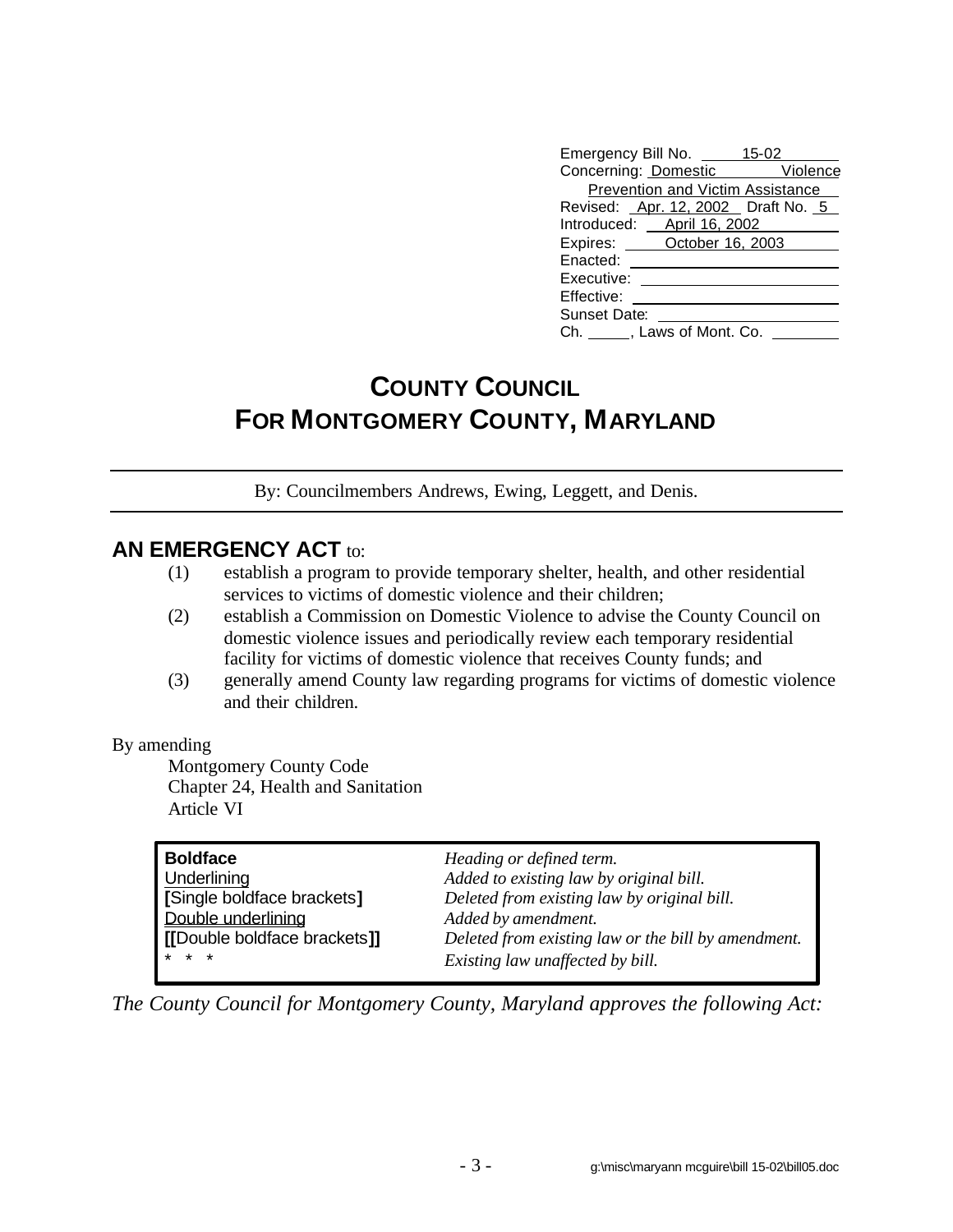| Emergency Bill No. 45-02           |  |
|------------------------------------|--|
| Concerning: Domestic Violence      |  |
| Prevention and Victim Assistance   |  |
| Revised: Apr. 12, 2002 Draft No. 5 |  |
| Introduced: April 16, 2002         |  |
| Expires: <b>October 16, 2003</b>   |  |
| Enacted:                           |  |
| Executive:                         |  |
| Effective:                         |  |
| <b>Sunset Date:</b>                |  |
| Ch. ______, Laws of Mont. Co.      |  |

## **COUNTY COUNCIL FOR MONTGOMERY COUNTY, MARYLAND**

By: Councilmembers Andrews, Ewing, Leggett, and Denis.

## **AN EMERGENCY ACT to:**

- (1) establish a program to provide temporary shelter, health, and other residential services to victims of domestic violence and their children;
- (2) establish a Commission on Domestic Violence to advise the County Council on domestic violence issues and periodically review each temporary residential facility for victims of domestic violence that receives County funds; and
- (3) generally amend County law regarding programs for victims of domestic violence and their children.

## By amending

Montgomery County Code Chapter 24, Health and Sanitation Article VI

| <b>Boldface</b>              | Heading or defined term.                            |
|------------------------------|-----------------------------------------------------|
| Underlining                  | Added to existing law by original bill.             |
| [Single boldface brackets]   | Deleted from existing law by original bill.         |
| Double underlining           | Added by amendment.                                 |
| [[Double boldface brackets]] | Deleted from existing law or the bill by amendment. |
| $* * *$                      | Existing law unaffected by bill.                    |

*The County Council for Montgomery County, Maryland approves the following Act:*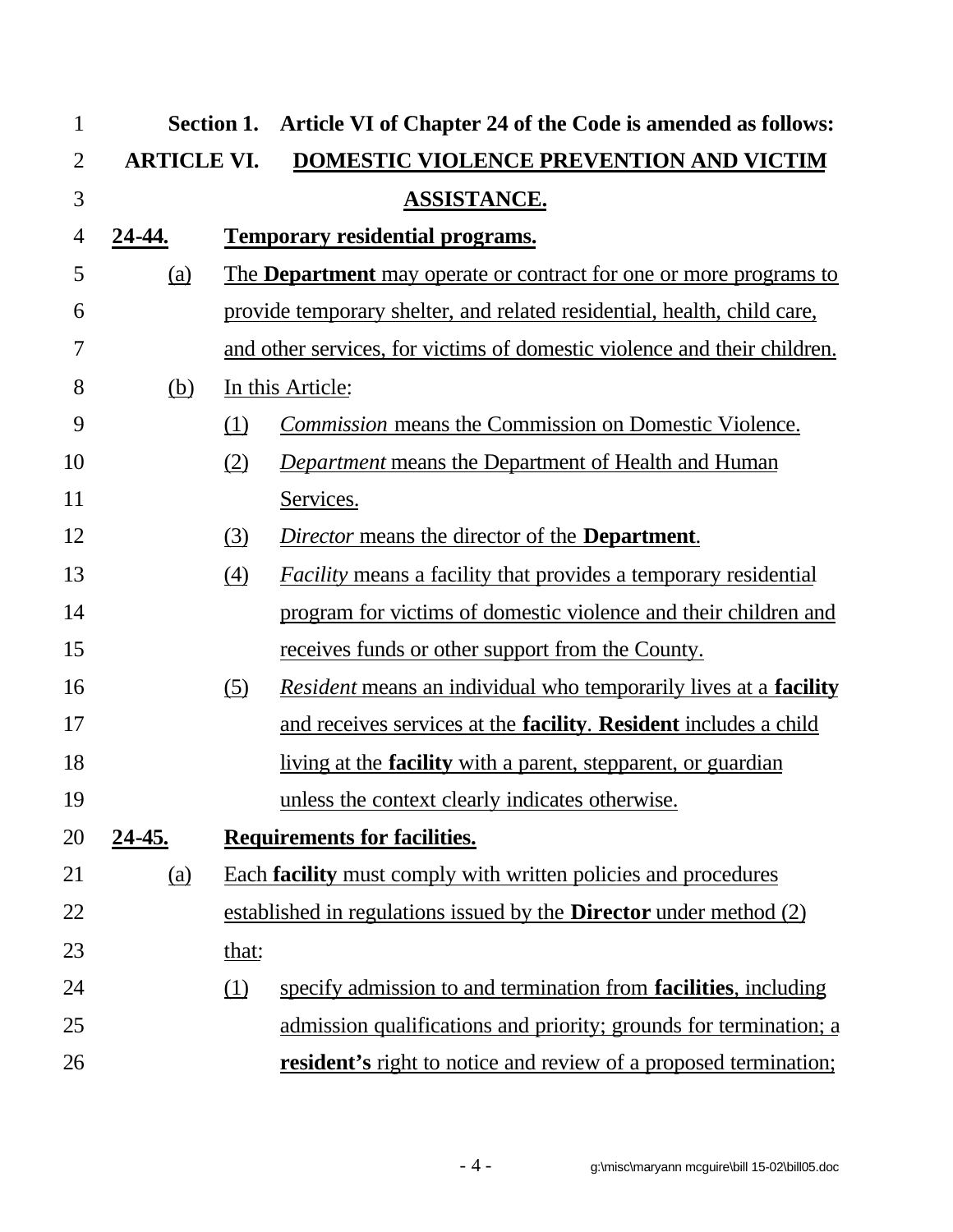| $\mathbf{1}$   |                    |                  | Section 1. Article VI of Chapter 24 of the Code is amended as follows:          |
|----------------|--------------------|------------------|---------------------------------------------------------------------------------|
| $\overline{2}$ | <b>ARTICLE VI.</b> |                  | DOMESTIC VIOLENCE PREVENTION AND VICTIM                                         |
| 3              |                    |                  | <b>ASSISTANCE.</b>                                                              |
| 4              | 24-44.             |                  | <b>Temporary residential programs.</b>                                          |
| 5              | <u>(a)</u>         |                  | <u>The Department may operate or contract for one or more programs to</u>       |
| 6              |                    |                  | provide temporary shelter, and related residential, health, child care,         |
| 7              |                    |                  | and other services, for victims of domestic violence and their children.        |
| 8              | <u>(b)</u>         |                  | In this Article:                                                                |
| 9              |                    | <u>(1)</u>       | <b>Commission means the Commission on Domestic Violence.</b>                    |
| 10             |                    | (2)              | <b>Department means the Department of Health and Human</b>                      |
| 11             |                    |                  | Services.                                                                       |
| 12             |                    | (3)              | Director means the director of the <b>Department</b> .                          |
| 13             |                    | $\left(4\right)$ | <i>Facility</i> means a facility that provides a temporary residential          |
| 14             |                    |                  | program for victims of domestic violence and their children and                 |
| 15             |                    |                  | receives funds or other support from the County.                                |
| 16             |                    | <u>(5)</u>       | <i>Resident</i> means an individual who temporarily lives at a <b>facility</b>  |
| 17             |                    |                  | and receives services at the <b>facility</b> . <b>Resident</b> includes a child |
| 18             |                    |                  | <u>living at the <b>facility</b> with a parent</u> , stepparent, or guardian    |
| 19             |                    |                  | unless the context clearly indicates otherwise.                                 |
| 20             | 24-45.             |                  | <b>Requirements for facilities.</b>                                             |
| 21             | <u>(a)</u>         |                  | <b>Each facility must comply with written policies and procedures</b>           |
| 22             |                    |                  | established in regulations issued by the <b>Director</b> under method (2)       |
| 23             |                    | that:            |                                                                                 |
| 24             |                    | <u>(1)</u>       | specify admission to and termination from <b>facilities</b> , including         |
| 25             |                    |                  | admission qualifications and priority; grounds for termination; a               |
| 26             |                    |                  | <b>resident's</b> right to notice and review of a proposed termination;         |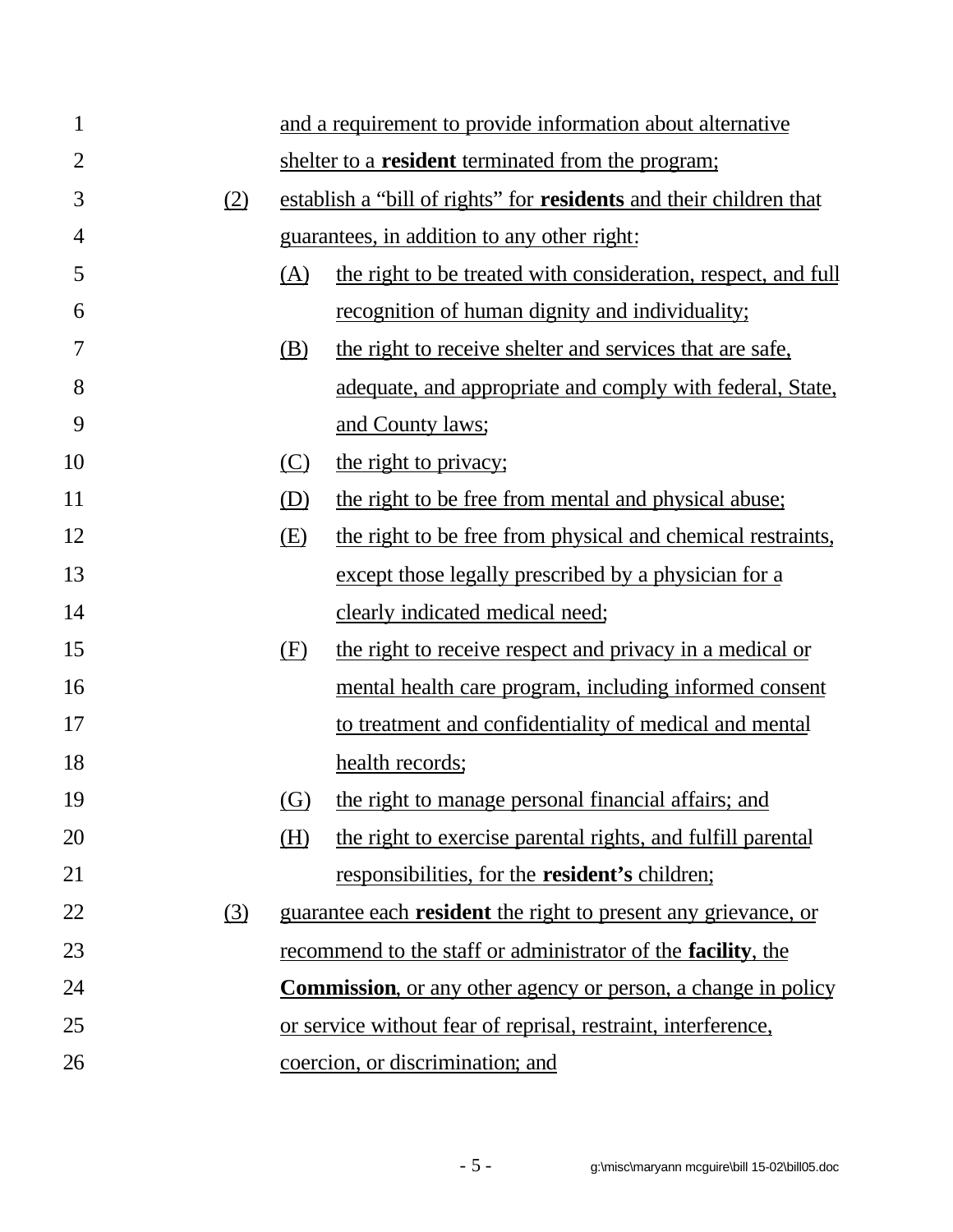| $\mathbf{1}$   |            |            | and a requirement to provide information about alternative            |
|----------------|------------|------------|-----------------------------------------------------------------------|
| $\overline{2}$ |            |            | shelter to a <b>resident</b> terminated from the program;             |
| 3              | (2)        |            | establish a "bill of rights" for residents and their children that    |
| 4              |            |            | guarantees, in addition to any other right:                           |
| 5              |            | (A)        | the right to be treated with consideration, respect, and full         |
| 6              |            |            | recognition of human dignity and individuality;                       |
| 7              |            | <u>(B)</u> | the right to receive shelter and services that are safe.              |
| 8              |            |            | adequate, and appropriate and comply with federal, State,             |
| 9              |            |            | and County laws;                                                      |
| 10             |            | $\circ$    | the right to privacy;                                                 |
| 11             |            | (D)        | the right to be free from mental and physical abuse;                  |
| 12             |            | E)         | the right to be free from physical and chemical restraints,           |
| 13             |            |            | except those legally prescribed by a physician for a                  |
| 14             |            |            | clearly indicated medical need;                                       |
| 15             |            | (F)        | the right to receive respect and privacy in a medical or              |
| 16             |            |            | mental health care program, including informed consent                |
| 17             |            |            | to treatment and confidentiality of medical and mental                |
| 18             |            |            | health records;                                                       |
| 19             |            | (G)        | the right to manage personal financial affairs; and                   |
| 20             |            | (H)        | the right to exercise parental rights, and fulfill parental           |
| 21             |            |            | responsibilities, for the <b>resident's</b> children;                 |
| 22             | <u>(3)</u> |            | guarantee each resident the right to present any grievance, or        |
| 23             |            |            | recommend to the staff or administrator of the <b>facility</b> , the  |
| 24             |            |            | <b>Commission</b> , or any other agency or person, a change in policy |
| 25             |            |            | or service without fear of reprisal, restraint, interference,         |
| 26             |            |            | coercion, or discrimination; and                                      |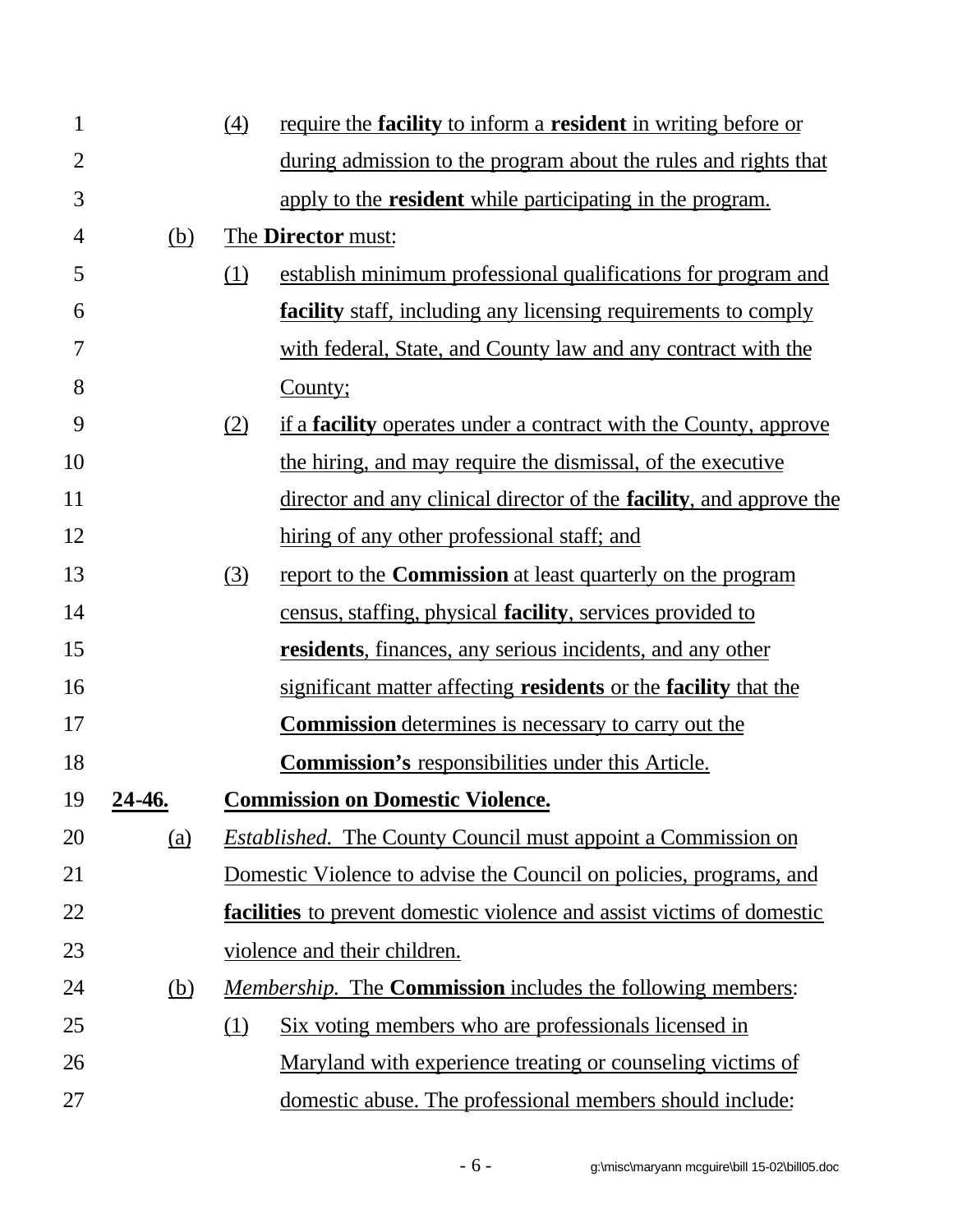| $\mathbf{1}$   |               | $\left(4\right)$ | require the facility to inform a resident in writing before or                 |
|----------------|---------------|------------------|--------------------------------------------------------------------------------|
| $\overline{2}$ |               |                  | during admission to the program about the rules and rights that                |
| 3              |               |                  | apply to the <b>resident</b> while participating in the program.               |
| 4              | (b)           |                  | The <b>Director</b> must:                                                      |
| 5              |               | (1)              | establish minimum professional qualifications for program and                  |
| 6              |               |                  | <b>facility</b> staff, including any licensing requirements to comply          |
| 7              |               |                  | with federal, State, and County law and any contract with the                  |
| 8              |               |                  | County;                                                                        |
| 9              |               | (2)              | <u>if a <b>facility</b> operates under a contract with the County, approve</u> |
| 10             |               |                  | the hiring, and may require the dismissal, of the executive                    |
| 11             |               |                  | director and any clinical director of the <b>facility</b> , and approve the    |
| 12             |               |                  | hiring of any other professional staff; and                                    |
| 13             |               | (3)              | report to the <b>Commission</b> at least quarterly on the program              |
| 14             |               |                  | census, staffing, physical <b>facility</b> , services provided to              |
| 15             |               |                  | <b>residents</b> , finances, any serious incidents, and any other              |
| 16             |               |                  | significant matter affecting <b>residents</b> or the <b>facility</b> that the  |
| 17             |               |                  | <b>Commission</b> determines is necessary to carry out the                     |
| 18             |               |                  | <b>Commission's</b> responsibilities under this Article.                       |
| 19             | <u>24-46.</u> |                  | <b>Commission on Domestic Violence.</b>                                        |
| 20             | (a)           |                  | <i>Established.</i> The County Council must appoint a Commission on            |
| 21             |               |                  | Domestic Violence to advise the Council on policies, programs, and             |
| 22             |               |                  | facilities to prevent domestic violence and assist victims of domestic         |
| 23             |               |                  | violence and their children.                                                   |
| 24             | (b)           |                  | Membership. The <b>Commission</b> includes the following members:              |
| 25             |               | (1)              | <u>Six voting members who are professionals licensed in</u>                    |
| 26             |               |                  | Maryland with experience treating or counseling victims of                     |
| 27             |               |                  | domestic abuse. The professional members should include:                       |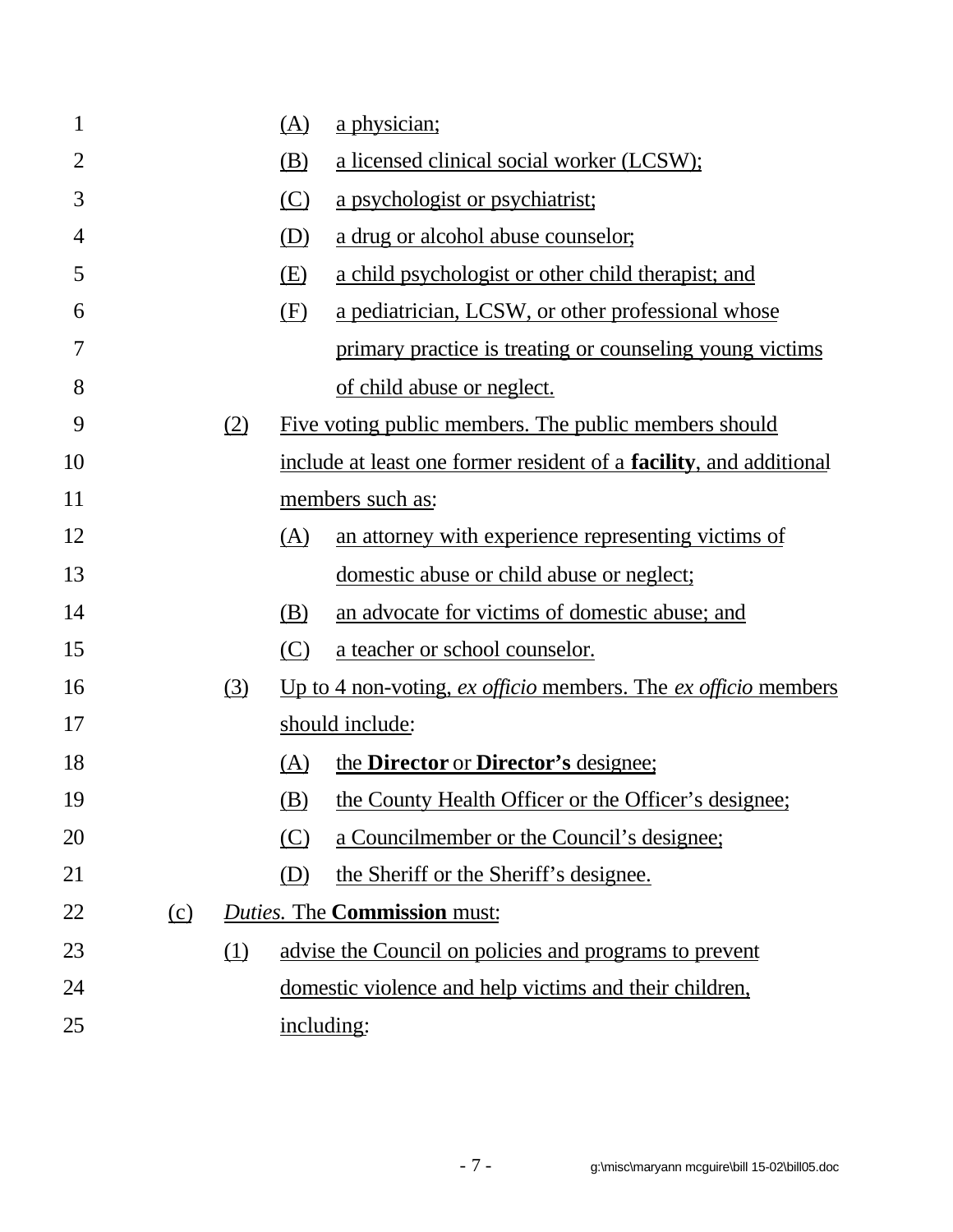| 1              |          |     | (A)        | <u>a physician;</u>                                                        |
|----------------|----------|-----|------------|----------------------------------------------------------------------------|
| $\overline{2}$ |          |     | <u>(B)</u> | a licensed clinical social worker (LCSW);                                  |
| 3              |          |     | $\circ$    | a psychologist or psychiatrist;                                            |
| 4              |          |     | (D)        | a drug or alcohol abuse counselor;                                         |
| 5              |          |     | E)         | a child psychologist or other child therapist; and                         |
| 6              |          |     | (E)        | a pediatrician, LCSW, or other professional whose                          |
| 7              |          |     |            | primary practice is treating or counseling young victims                   |
| 8              |          |     |            | of child abuse or neglect.                                                 |
| 9              |          | (2) |            | Five voting public members. The public members should                      |
| 10             |          |     |            | include at least one former resident of a <b>facility</b> , and additional |
| 11             |          |     |            | members such as:                                                           |
| 12             |          |     | (A)        | an attorney with experience representing victims of                        |
| 13             |          |     |            | domestic abuse or child abuse or neglect;                                  |
| 14             |          |     | (B)        | an advocate for victims of domestic abuse; and                             |
| 15             |          |     | (C)        | a teacher or school counselor.                                             |
| 16             |          | (3) |            | Up to 4 non-voting, $ex$ officio members. The $ex$ officio members         |
| 17             |          |     |            | should include:                                                            |
| 18             |          |     | (A)        | the <b>Director</b> or <b>Director</b> 's designee;                        |
| 19             |          |     | <u>(B)</u> | the County Health Officer or the Officer's designee;                       |
| 20             |          |     | (C)        | a Councilmember or the Council's designee;                                 |
| 21             |          |     | (D)        | the Sheriff or the Sheriff's designee.                                     |
| 22             | $\Omega$ |     |            | <b>Duties. The Commission must:</b>                                        |
| 23             |          | (1) |            | advise the Council on policies and programs to prevent                     |
| 24             |          |     |            | domestic violence and help victims and their children,                     |
| 25             |          |     | including: |                                                                            |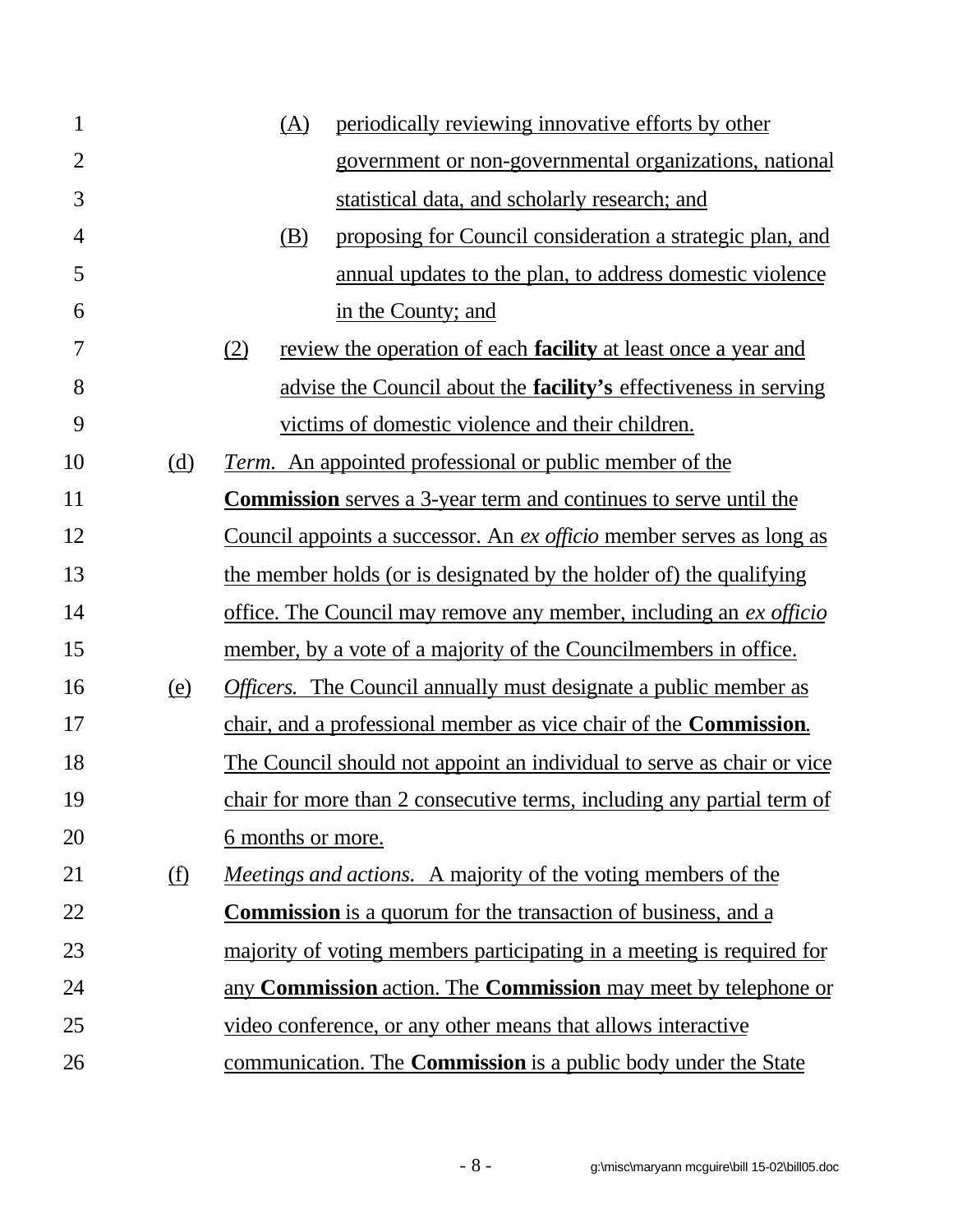| $\mathbf{1}$   |                            | periodically reviewing innovative efforts by other<br>(A)                    |  |
|----------------|----------------------------|------------------------------------------------------------------------------|--|
| $\overline{2}$ |                            | government or non-governmental organizations, national                       |  |
| 3              |                            | statistical data, and scholarly research; and                                |  |
| $\overline{4}$ |                            | proposing for Council consideration a strategic plan, and<br>(B)             |  |
| 5              |                            | annual updates to the plan, to address domestic violence                     |  |
| 6              |                            | in the County; and                                                           |  |
| 7              |                            | (2)<br>review the operation of each <b>facility</b> at least once a year and |  |
| 8              |                            | advise the Council about the <b>facility's</b> effectiveness in serving      |  |
| 9              |                            | victims of domestic violence and their children.                             |  |
| 10             | (d)                        | <i>Term.</i> An appointed professional or public member of the               |  |
| 11             |                            | <b>Commission</b> serves a 3-year term and continues to serve until the      |  |
| 12             |                            | Council appoints a successor. An ex officio member serves as long as         |  |
| 13             |                            | the member holds (or is designated by the holder of) the qualifying          |  |
| 14             |                            | office. The Council may remove any member, including an ex officio           |  |
| 15             |                            | member, by a vote of a majority of the Councilmembers in office.             |  |
| 16             | (e)                        | <i>Officers.</i> The Council annually must designate a public member as      |  |
| 17             |                            | chair, and a professional member as vice chair of the <b>Commission</b> .    |  |
| 18             |                            | The Council should not appoint an individual to serve as chair or vice       |  |
| 19             |                            | chair for more than 2 consecutive terms, including any partial term of       |  |
| 20             |                            | <u>6</u> months or more.                                                     |  |
| 21             | $\underline{\textbf{(f)}}$ | <i>Meetings and actions.</i> A majority of the voting members of the         |  |
| 22             |                            | <b>Commission</b> is a quorum for the transaction of business, and a         |  |
| 23             |                            | majority of voting members participating in a meeting is required for        |  |
| 24             |                            | any <b>Commission</b> action. The <b>Commission</b> may meet by telephone or |  |
| 25             |                            | video conference, or any other means that allows interactive                 |  |
| 26             |                            | communication. The <b>Commission</b> is a public body under the State        |  |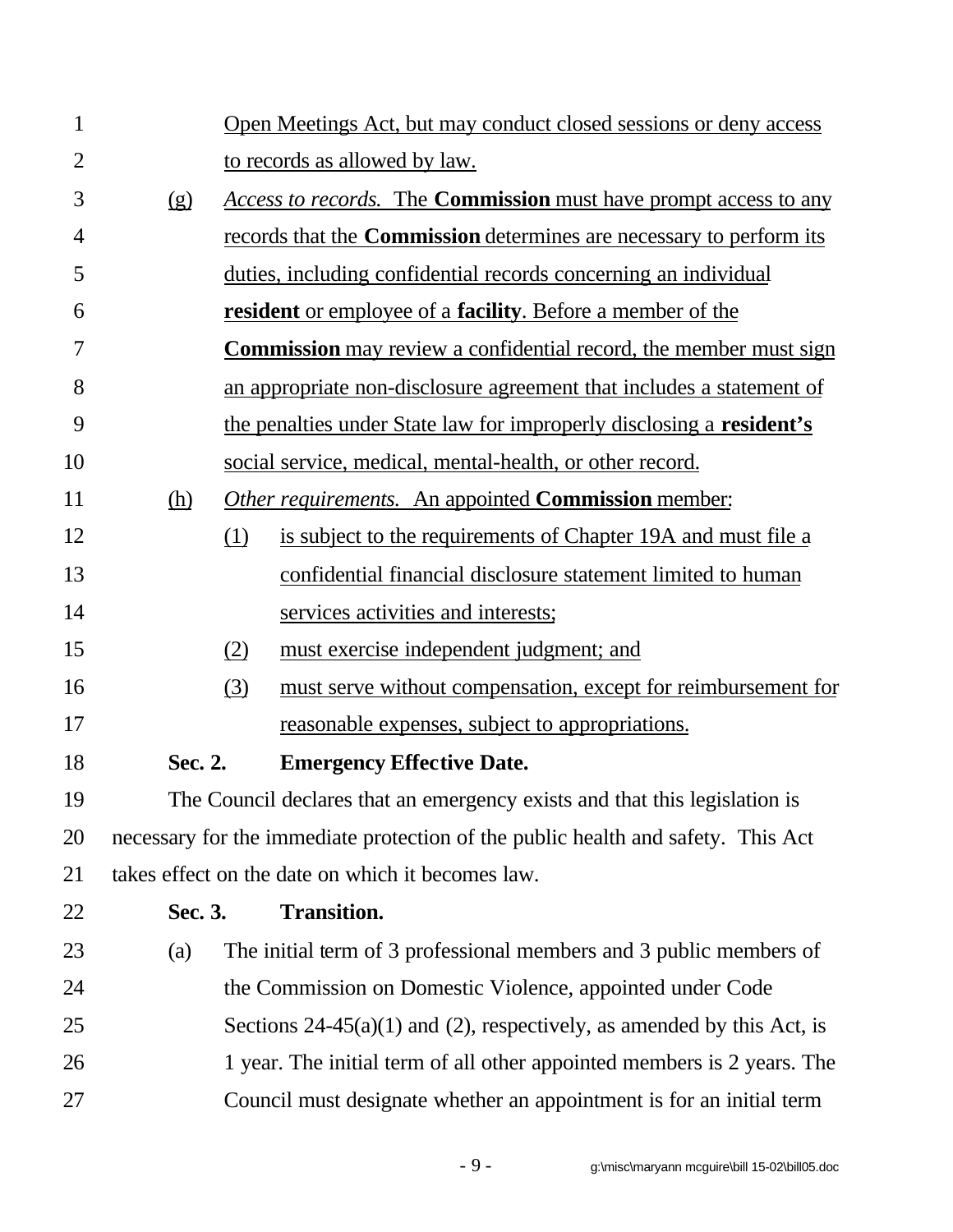| $\mathbf{1}$   |            | Open Meetings Act, but may conduct closed sessions or deny access                |
|----------------|------------|----------------------------------------------------------------------------------|
| $\overline{2}$ |            | to records as allowed by law.                                                    |
| 3              | (g)        | Access to records. The <b>Commission</b> must have prompt access to any          |
| 4              |            | records that the <b>Commission</b> determines are necessary to perform its       |
| 5              |            | duties, including confidential records concerning an individual                  |
| 6              |            | resident or employee of a facility. Before a member of the                       |
| 7              |            | <b>Commission</b> may review a confidential record, the member must sign         |
| 8              |            | an appropriate non-disclosure agreement that includes a statement of             |
| 9              |            | the penalties under State law for improperly disclosing a resident's             |
| 10             |            | social service, medical, mental-health, or other record.                         |
| 11             | <u>(h)</u> | <b>Other requirements.</b> An appointed <b>Commission</b> member:                |
| 12             |            | (1)<br>is subject to the requirements of Chapter 19A and must file a             |
| 13             |            | confidential financial disclosure statement limited to human                     |
| 14             |            | services activities and interests;                                               |
| 15             |            | (2)<br>must exercise independent judgment; and                                   |
| 16             |            | (3)<br>must serve without compensation, except for reimbursement for             |
| 17             |            | reasonable expenses, subject to appropriations.                                  |
| 18             | Sec. 2.    | <b>Emergency Effective Date.</b>                                                 |
| 19             |            | The Council declares that an emergency exists and that this legislation is       |
| 20             |            | necessary for the immediate protection of the public health and safety. This Act |
| 21             |            | takes effect on the date on which it becomes law.                                |
| 22             | Sec. 3.    | <b>Transition.</b>                                                               |
| 23             | (a)        | The initial term of 3 professional members and 3 public members of               |
| 24             |            | the Commission on Domestic Violence, appointed under Code                        |
| 25             |            | Sections $24-45(a)(1)$ and (2), respectively, as amended by this Act, is         |
| 26             |            | 1 year. The initial term of all other appointed members is 2 years. The          |
| 27             |            | Council must designate whether an appointment is for an initial term             |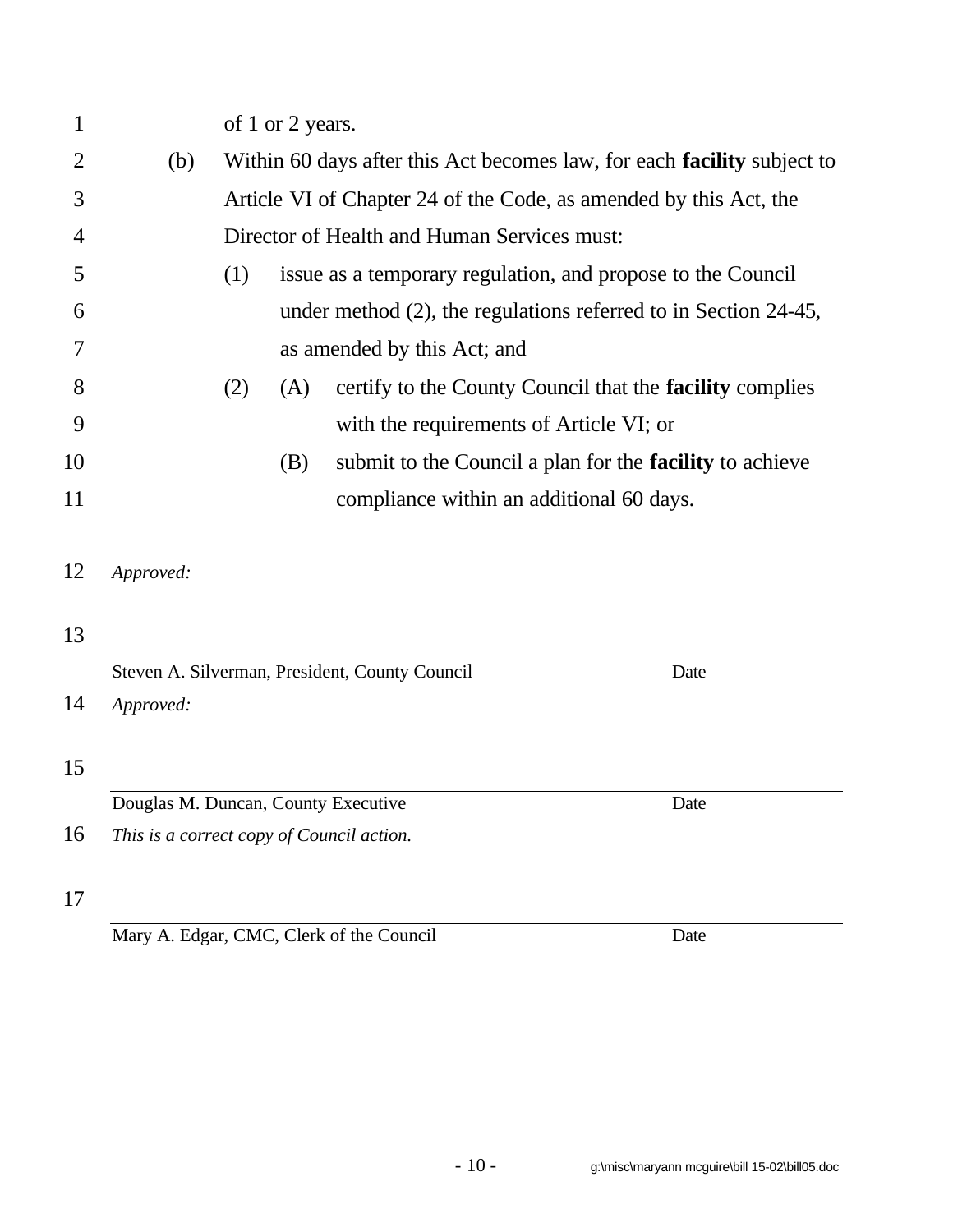| $\mathbf{1}$ |                                           |     | of 1 or 2 years. |                                                                         |
|--------------|-------------------------------------------|-----|------------------|-------------------------------------------------------------------------|
| 2            | (b)                                       |     |                  | Within 60 days after this Act becomes law, for each facility subject to |
| 3            |                                           |     |                  | Article VI of Chapter 24 of the Code, as amended by this Act, the       |
| 4            |                                           |     |                  | Director of Health and Human Services must:                             |
| 5            |                                           | (1) |                  | issue as a temporary regulation, and propose to the Council             |
| 6            |                                           |     |                  | under method $(2)$ , the regulations referred to in Section 24-45,      |
| 7            |                                           |     |                  | as amended by this Act; and                                             |
| 8            |                                           | (2) | (A)              | certify to the County Council that the <b>facility</b> complies         |
| 9            |                                           |     |                  | with the requirements of Article VI; or                                 |
| 10           |                                           |     | (B)              | submit to the Council a plan for the <b>facility</b> to achieve         |
| 11           |                                           |     |                  | compliance within an additional 60 days.                                |
| 12           | Approved:                                 |     |                  |                                                                         |
| 13           |                                           |     |                  |                                                                         |
|              |                                           |     |                  | Steven A. Silverman, President, County Council<br>Date                  |
| 14           | Approved:                                 |     |                  |                                                                         |
| 15           |                                           |     |                  |                                                                         |
|              | Douglas M. Duncan, County Executive       |     |                  | Date                                                                    |
| 16           | This is a correct copy of Council action. |     |                  |                                                                         |
| 17           |                                           |     |                  |                                                                         |

Mary A. Edgar, CMC, Clerk of the Council Date